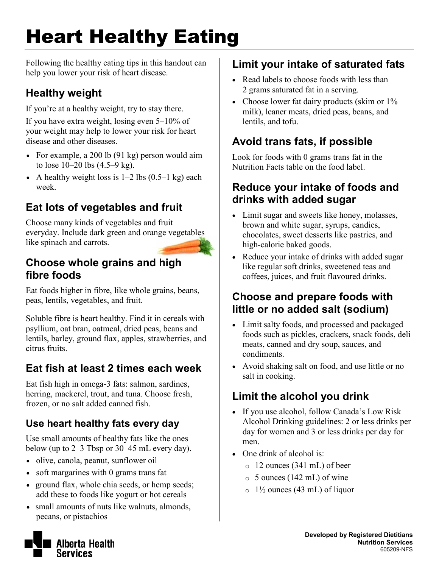# Heart Healthy Eating

Following the healthy eating tips in this handout can help you lower your risk of heart disease.

### **Healthy weight**

If you're at a healthy weight, try to stay there.

If you have extra weight, losing even 5–10% of your weight may help to lower your risk for heart disease and other diseases.

- For example, a 200 lb (91 kg) person would aim to lose 10–20 lbs (4.5–9 kg).
- A healthy weight loss is  $1-2$  lbs  $(0.5-1 \text{ kg})$  each week.

# **Eat lots of vegetables and fruit**

Choose many kinds of vegetables and fruit everyday. Include dark green and orange vegetables like spinach and carrots.

#### **Choose whole grains and high fibre foods**

Eat foods higher in fibre, like whole grains, beans, peas, lentils, vegetables, and fruit.

Soluble fibre is heart healthy. Find it in cereals with psyllium, oat bran, oatmeal, dried peas, beans and lentils, barley, ground flax, apples, strawberries, and citrus fruits.

# **Eat fish at least 2 times each week**

Eat fish high in omega-3 fats: salmon, sardines, herring, mackerel, trout, and tuna. Choose fresh, frozen, or no salt added canned fish.

### **Use heart healthy fats every day**

Use small amounts of healthy fats like the ones below (up to 2–3 Tbsp or 30–45 mL every day).

- olive, canola, peanut, sunflower oil
- soft margarines with 0 grams trans fat
- ground flax, whole chia seeds, or hemp seeds; add these to foods like yogurt or hot cereals
- small amounts of nuts like walnuts, almonds, pecans, or pistachios

## **Limit your intake of saturated fats**

- Read labels to choose foods with less than 2 grams saturated fat in a serving.
- Choose lower fat dairy products (skim or  $1\%$ ) milk), leaner meats, dried peas, beans, and lentils, and tofu.

# **Avoid trans fats, if possible**

Look for foods with 0 grams trans fat in the Nutrition Facts table on the food label.

#### **Reduce your intake of foods and drinks with added sugar**

- Limit sugar and sweets like honey, molasses, brown and white sugar, syrups, candies, chocolates, sweet desserts like pastries, and high-calorie baked goods.
- Reduce your intake of drinks with added sugar like regular soft drinks, sweetened teas and coffees, juices, and fruit flavoured drinks.

#### **Choose and prepare foods with little or no added salt (sodium)**

- Limit salty foods, and processed and packaged foods such as pickles, crackers, snack foods, deli meats, canned and dry soup, sauces, and condiments.
- Avoid shaking salt on food, and use little or no salt in cooking.

# **Limit the alcohol you drink**

- If you use alcohol, follow Canada's Low Risk Alcohol Drinking guidelines: 2 or less drinks per day for women and 3 or less drinks per day for men.
- One drink of alcohol is:
	- o 12 ounces (341 mL) of beer
	- $\circ$  5 ounces (142 mL) of wine
	- $\circ$  1<sup>1</sup>/<sub>2</sub> ounces (43 mL) of liquor

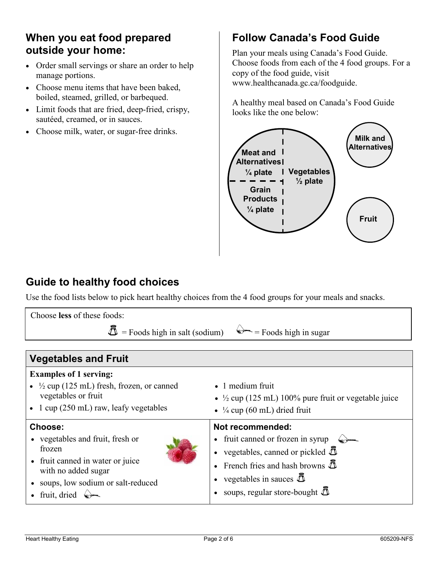#### **When you eat food prepared outside your home:**

- Order small servings or share an order to help manage portions.
- Choose menu items that have been baked, boiled, steamed, grilled, or barbequed.
- Limit foods that are fried, deep-fried, crispy, sautéed, creamed, or in sauces.
- Choose milk, water, or sugar-free drinks.

### **Follow Canada's Food Guide**

Plan your meals using Canada's Food Guide. Choose foods from each of the 4 food groups. For a copy of the food guide, visit www.healthcanada.gc.ca/foodguide.

A healthy meal based on Canada's Food Guide looks like the one below:



#### **Guide to healthy food choices**

Use the food lists below to pick heart healthy choices from the 4 food groups for your meals and snacks.

| Choose less of these foods:                                                                                                                                                                     |                                                                                                                                                                                                                                                     |  |  |
|-------------------------------------------------------------------------------------------------------------------------------------------------------------------------------------------------|-----------------------------------------------------------------------------------------------------------------------------------------------------------------------------------------------------------------------------------------------------|--|--|
| $\overline{\mathbf{D}}$ = Foods high in salt (sodium)<br>$=$ Foods high in sugar                                                                                                                |                                                                                                                                                                                                                                                     |  |  |
|                                                                                                                                                                                                 |                                                                                                                                                                                                                                                     |  |  |
| <b>Vegetables and Fruit</b>                                                                                                                                                                     |                                                                                                                                                                                                                                                     |  |  |
| <b>Examples of 1 serving:</b><br>• $\frac{1}{2}$ cup (125 mL) fresh, frozen, or canned<br>vegetables or fruit<br>$\bullet$ 1 cup (250 mL) raw, leafy vegetables                                 | $\bullet$ 1 medium fruit<br>• $\frac{1}{2}$ cup (125 mL) 100% pure fruit or vegetable juice<br>• $\frac{1}{4}$ cup (60 mL) dried fruit                                                                                                              |  |  |
| Choose:<br>• vegetables and fruit, fresh or<br>frozen<br>fruit canned in water or juice<br>with no added sugar<br>soups, low sodium or salt-reduced<br>fruit, dried $\quad \Longleftrightarrow$ | Not recommended:<br>• fruit canned or frozen in syrup<br>• vegetables, canned or pickled $\bar{\Delta}$<br>French fries and hash browns $\bar{\mathbb{D}}$<br>vegetables in sauces $\bar{\mathbb{D}}$<br>soups, regular store-bought $\bar{\Delta}$ |  |  |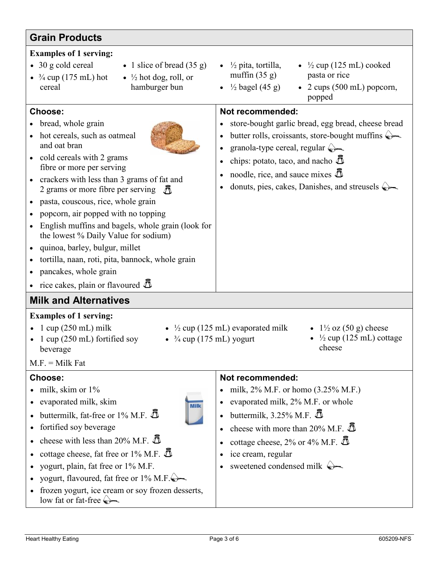| <b>Grain Products</b>                                                                                                                                                                                                                                                                                                                                                                                                                                                                                                                                                                          |                                                                                                                                                                                                                                                                                                                                                                                                              |  |
|------------------------------------------------------------------------------------------------------------------------------------------------------------------------------------------------------------------------------------------------------------------------------------------------------------------------------------------------------------------------------------------------------------------------------------------------------------------------------------------------------------------------------------------------------------------------------------------------|--------------------------------------------------------------------------------------------------------------------------------------------------------------------------------------------------------------------------------------------------------------------------------------------------------------------------------------------------------------------------------------------------------------|--|
| <b>Examples of 1 serving:</b><br>$\bullet$ 30 g cold cereal<br>• 1 slice of bread $(35 g)$<br>• $\frac{3}{4}$ cup (175 mL) hot<br>• $\frac{1}{2}$ hot dog, roll, or<br>hamburger bun<br>cereal                                                                                                                                                                                                                                                                                                                                                                                                 | • $\frac{1}{2}$ pita, tortilla,<br>• $\frac{1}{2}$ cup (125 mL) cooked<br>muffin $(35 g)$<br>pasta or rice<br>$\frac{1}{2}$ bagel (45 g)<br>$\bullet$ 2 cups (500 mL) popcorn,<br>$\bullet$<br>popped                                                                                                                                                                                                        |  |
| Choose:<br>bread, whole grain<br>hot cereals, such as oatmeal<br>and oat bran<br>cold cereals with 2 grams<br>fibre or more per serving<br>crackers with less than 3 grams of fat and<br>2 grams or more fibre per serving<br>pasta, couscous, rice, whole grain<br>$\bullet$<br>popcorn, air popped with no topping<br>English muffins and bagels, whole grain (look for<br>$\bullet$<br>the lowest % Daily Value for sodium)<br>quinoa, barley, bulgur, millet<br>tortilla, naan, roti, pita, bannock, whole grain<br>pancakes, whole grain<br>rice cakes, plain or flavoured $\bar{\Delta}$ | Not recommended:<br>store-bought garlic bread, egg bread, cheese bread<br>butter rolls, croissants, store-bought muffins $\triangleright$<br>$\bullet$<br>granola-type cereal, regular $\leftarrow$<br>$\bullet$<br>chips: potato, taco, and nacho $\bar{\Delta}$<br>$\bullet$<br>noodle, rice, and sauce mixes $\bar{\Delta}$<br>donuts, pies, cakes, Danishes, and streusels $\triangleright$<br>$\bullet$ |  |
| <b>Milk and Alternatives</b><br><b>Examples of 1 serving:</b><br>$1 \text{ cup} (250 \text{ mL})$ milk<br>• $\frac{1}{2}$ cup (125 mL) evaporated milk<br>$1\frac{1}{2}$ oz (50 g) cheese                                                                                                                                                                                                                                                                                                                                                                                                      |                                                                                                                                                                                                                                                                                                                                                                                                              |  |
| 1 cup (250 mL) fortified soy<br>• $\frac{3}{4}$ cup (175 mL) yogurt<br>beverage<br>$M.F. = Milk Fat$                                                                                                                                                                                                                                                                                                                                                                                                                                                                                           | $\frac{1}{2}$ cup (125 mL) cottage<br>cheese                                                                                                                                                                                                                                                                                                                                                                 |  |
| Choose:<br>milk, skim or 1%<br>evaporated milk, skim<br><b>Milk</b><br>buttermilk, fat-free or 1% M.F. $\bar{\mathbb{D}}$<br>$\bullet$<br>fortified soy beverage<br>cheese with less than 20% M.F. $\bar{\mathbb{D}}$<br>$\bullet$<br>cottage cheese, fat free or 1% M.F. $\bar{\Delta}$<br>$\bullet$<br>yogurt, plain, fat free or 1% M.F.<br>yogurt, flavoured, fat free or $1\%$ M.F. $\rightarrow$<br>frozen yogurt, ice cream or soy frozen desserts,<br>$\bullet$<br>low fat or fat-free                                                                                                 | Not recommended:<br>milk, 2% M.F. or homo (3.25% M.F.)<br>$\bullet$<br>evaporated milk, 2% M.F. or whole<br>$\bullet$<br>buttermilk, 3.25% M.F. $\bar{\mathbb{D}}$<br>$\bullet$<br>cheese with more than 20% M.F. $\bar{\Delta}$<br>$\bullet$<br>cottage cheese, 2% or 4% M.F. $\bar{\mathbb{D}}$<br>$\bullet$<br>ice cream, regular<br>$\bullet$<br>sweetened condensed milk $\leftrightarrow$<br>$\bullet$ |  |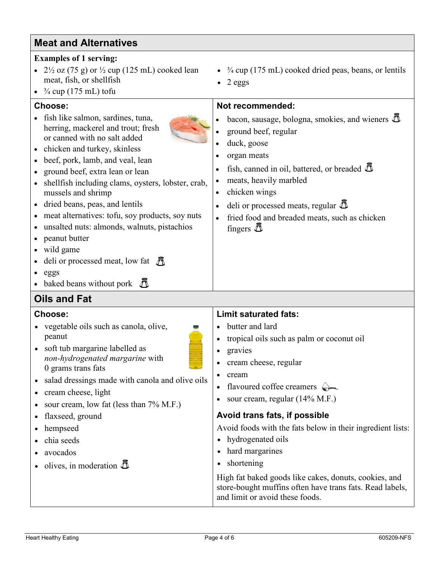| Choose:                                                                                                                                                                                                                                                                                                                                                                                                                                                                                                                                                                                         | Not recommended:                                                                                                                                                                                                                                                                                                                                                                                                                                                                                                                                                                               |
|-------------------------------------------------------------------------------------------------------------------------------------------------------------------------------------------------------------------------------------------------------------------------------------------------------------------------------------------------------------------------------------------------------------------------------------------------------------------------------------------------------------------------------------------------------------------------------------------------|------------------------------------------------------------------------------------------------------------------------------------------------------------------------------------------------------------------------------------------------------------------------------------------------------------------------------------------------------------------------------------------------------------------------------------------------------------------------------------------------------------------------------------------------------------------------------------------------|
| • fish like salmon, sardines, tuna,<br>herring, mackerel and trout; fresh<br>or canned with no salt added<br>• chicken and turkey, skinless<br>• beef, pork, lamb, and veal, lean<br>• ground beef, extra lean or lean<br>• shellfish including clams, oysters, lobster, crab,<br>mussels and shrimp<br>• dried beans, peas, and lentils<br>• meat alternatives: tofu, soy products, soy nuts<br>• unsalted nuts: almonds, walnuts, pistachios<br>• peanut butter<br>• wild game<br>• deli or processed meat, low fat $\tilde{\mathcal{J}}$<br>$e$ eggs<br>• baked beans without pork $\bar{a}$ | bacon, sausage, bologna, smokies, and wieners $\Phi$<br>ground beef, regular<br>duck, goose<br>organ meats<br>fish, canned in oil, battered, or breaded $\bar{\mathbb{D}}$<br>meats, heavily marbled<br>chicken wings<br>٠<br>deli or processed meats, regular $\bar{\mathbb{D}}$<br>fried food and breaded meats, such as chicken<br>fingers $\bar{D}$                                                                                                                                                                                                                                        |
| <b>Oils and Fat</b>                                                                                                                                                                                                                                                                                                                                                                                                                                                                                                                                                                             |                                                                                                                                                                                                                                                                                                                                                                                                                                                                                                                                                                                                |
| <b>Choose:</b><br>• vegetable oils such as canola, olive,<br>peanut<br>• soft tub margarine labelled as<br>non-hydrogenated margarine with<br>0 grams trans fats<br>• salad dressings made with canola and olive oils<br>• cream cheese, light<br>• sour cream, low fat (less than $7\%$ M.F.)<br>• flaxseed, ground<br>• hempseed<br>chia seeds<br>$\bullet$<br>• avocados<br>• olives, in moderation $\overline{\mathbb{D}}$                                                                                                                                                                  | <b>Limit saturated fats:</b><br>butter and lard<br>tropical oils such as palm or coconut oil<br>$\bullet$<br>gravies<br>٠<br>cream cheese, regular<br>$\bullet$<br>cream<br>flavoured coffee creamers $\left\langle \right\rangle$<br>sour cream, regular (14% M.F.)<br>Avoid trans fats, if possible<br>Avoid foods with the fats below in their ingredient lists:<br>hydrogenated oils<br>$\bullet$<br>hard margarines<br>shortening<br>High fat baked goods like cakes, donuts, cookies, and<br>store-bought muffins often have trans fats. Read labels,<br>and limit or avoid these foods. |

#### **Meat and Alternatives**

#### **Examples of 1 serving:**

- $2\frac{1}{2}$  oz (75 g) or  $\frac{1}{2}$  cup (125 mL) cooked lean meat, fish, or shellfish
- $\frac{3}{4}$  cup (175 mL) tofu

- fish like salmon, sardines, tuna,
- chicken and turkey, skinless
- 
- 
- shellfish including clams, oysters, lobster, crab,
- 
- meat alternatives: tofu, soy products, soy nuts
- unsalted nuts: almonds, walnuts, pistachios
- peanut butter
- wild game
- deli or processed meat, low fat
- $\bullet$
- baked beans without pork

#### **Oils and Fat**

- vegetable oils such as canola, olive,
- 
- salad dressings made with canola and olive oils
- cream cheese, light
- sour cream, low fat (less than 7% M.F.)
- flaxseed, ground
- hempseed
- chia seeds
- avocados
- olives, in moderation
- $\cdot$   $\frac{3}{4}$  cup (175 mL) cooked dried peas, beans, or lentils
- 2 eggs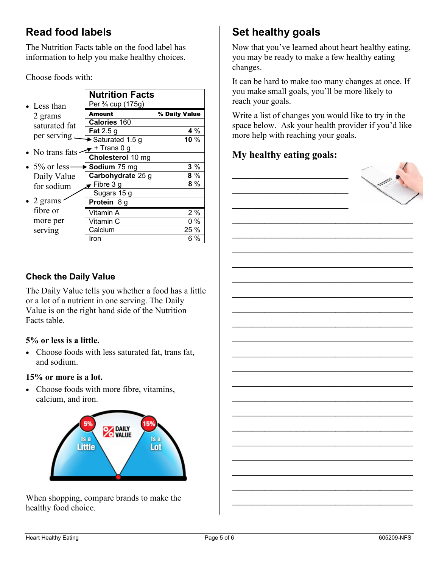#### **Read food labels**

The Nutrition Facts table on the food label has information to help you make healthy choices.

Choose foods with:

| • Less than     | <b>Nutrition Facts</b><br>Per <sup>3</sup> / <sub>4</sub> cup (175g) |               |
|-----------------|----------------------------------------------------------------------|---------------|
| 2 grams         | <b>Amount</b>                                                        | % Daily Value |
| saturated fat   | <b>Calories 160</b>                                                  |               |
|                 | Fat $2.5$ g                                                          | 4 $\%$        |
| per serving     | Saturated 1.5 g                                                      | 10 $%$        |
| • No trans fats | ► + Trans 0 g                                                        |               |
|                 | Cholesterol 10 mg                                                    |               |
| • 5% or less.   | Sodium 75 mg                                                         | $3\%$         |
| Daily Value     | Carbohydrate 25 g                                                    | 8 %           |
| for sodium      | $\overline{\phantom{a}}$ Fibre 3 g                                   | $8\%$         |
|                 | Sugars 15 g                                                          |               |
| • 2 grams       | Protein 8 g                                                          |               |
| fibre or        | Vitamin A                                                            | $2\%$         |
| more per        | Vitamin C                                                            | 0 %           |
| serving         | Calcium                                                              | 25 %          |
|                 | Iron                                                                 | 6 %           |

### **Set healthy goals**

Now that you've learned about heart healthy eating, you may be ready to make a few healthy eating changes.

It can be hard to make too many changes at once. If you make small goals, you'll be more likely to reach your goals.

Write a list of changes you would like to try in the space below. Ask your health provider if you'd like more help with reaching your goals.

 $\overline{\phantom{a}}$  , which is a set of the set of the set of the set of the set of the set of the set of the set of the set of the set of the set of the set of the set of the set of the set of the set of the set of the set of th

 $\overline{\phantom{a}}$  , which is a set of the set of the set of the set of the set of the set of the set of the set of the set of the set of the set of the set of the set of the set of the set of the set of the set of the set of th

 $\mathcal{L}_\text{max}$  , which is a set of the set of the set of the set of the set of the set of the set of the set of the set of the set of the set of the set of the set of the set of the set of the set of the set of the set of

 $\overline{\phantom{a}}$  , which is a set of the set of the set of the set of the set of the set of the set of the set of the set of the set of the set of the set of the set of the set of the set of the set of the set of the set of th

 $\overline{\phantom{a}}$  , which is a set of the set of the set of the set of the set of the set of the set of the set of the set of the set of the set of the set of the set of the set of the set of the set of the set of the set of th

 $\overline{\phantom{a}}$  , which is a set of the set of the set of the set of the set of the set of the set of the set of the set of the set of the set of the set of the set of the set of the set of the set of the set of the set of th

 $\overline{\phantom{a}}$  , which is a set of the set of the set of the set of the set of the set of the set of the set of the set of the set of the set of the set of the set of the set of the set of the set of the set of the set of th

 $\mathcal{L}_\text{max}$  , which is a set of the set of the set of the set of the set of the set of the set of the set of the set of the set of the set of the set of the set of the set of the set of the set of the set of the set of

 $\mathcal{L}_\text{max}$  , which is a set of the set of the set of the set of the set of the set of the set of the set of the set of the set of the set of the set of the set of the set of the set of the set of the set of the set of

 $\overline{\phantom{a}}$  , which is a set of the set of the set of the set of the set of the set of the set of the set of the set of the set of the set of the set of the set of the set of the set of the set of the set of the set of th

 $\overline{\phantom{a}}$  , which is a set of the set of the set of the set of the set of the set of the set of the set of the set of the set of the set of the set of the set of the set of the set of the set of the set of the set of th

 $\overline{\phantom{a}}$  , which is a set of the set of the set of the set of the set of the set of the set of the set of the set of the set of the set of the set of the set of the set of the set of the set of the set of the set of th

 $\mathcal{L}_\text{max}$  , which is a set of the set of the set of the set of the set of the set of the set of the set of the set of the set of the set of the set of the set of the set of the set of the set of the set of the set of

 $\overline{\phantom{a}}$  , which is a set of the set of the set of the set of the set of the set of the set of the set of the set of the set of the set of the set of the set of the set of the set of the set of the set of the set of th

 $\overline{\phantom{a}}$  , which is a set of the set of the set of the set of the set of the set of the set of the set of the set of the set of the set of the set of the set of the set of the set of the set of the set of the set of th

 $\overline{\phantom{a}}$  , which is a set of the set of the set of the set of the set of the set of the set of the set of the set of the set of the set of the set of the set of the set of the set of the set of the set of the set of th

 $\overline{\phantom{a}}$  , which is a set of the set of the set of the set of the set of the set of the set of the set of the set of the set of the set of the set of the set of the set of the set of the set of the set of the set of th

 $\mathcal{L}_\text{max}$  , which is a set of the set of the set of the set of the set of the set of the set of the set of the set of the set of the set of the set of the set of the set of the set of the set of the set of the set of

 $\mathcal{L}_\text{max}$  , which is a set of the set of the set of the set of the set of the set of the set of the set of the set of the set of the set of the set of the set of the set of the set of the set of the set of the set of

 $\overline{\phantom{a}}$  , which is a set of the set of the set of the set of the set of the set of the set of the set of the set of the set of the set of the set of the set of the set of the set of the set of the set of the set of th

#### **My healthy eating goals:**

 $\overline{\phantom{a}}$ 

 $\overline{\phantom{a}}$ 

 $\overline{\phantom{a}}$  , which is the set of the set of the set of the set of the set of the set of the set of the set of the set of the set of the set of the set of the set of the set of the set of the set of the set of the set of



#### **Check the Daily Value**

The Daily Value tells you whether a food has a little or a lot of a nutrient in one serving. The Daily Value is on the right hand side of the Nutrition Facts table.

#### **5% or less is a little.**

• Choose foods with less saturated fat, trans fat, and sodium.

#### **15% or more is a lot.**

• Choose foods with more fibre, vitamins, calcium, and iron.



When shopping, compare brands to make the healthy food choice.